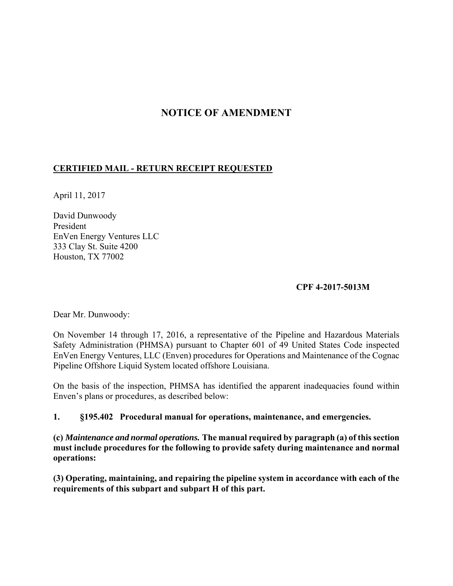# **NOTICE OF AMENDMENT**

# **CERTIFIED MAIL - RETURN RECEIPT REQUESTED**

April 11, 2017

David Dunwoody President EnVen Energy Ventures LLC 333 Clay St. Suite 4200 Houston, TX 77002

### **CPF 4-2017-5013M**

Dear Mr. Dunwoody:

On November 14 through 17, 2016, a representative of the Pipeline and Hazardous Materials Safety Administration (PHMSA) pursuant to Chapter 601 of 49 United States Code inspected EnVen Energy Ventures, LLC (Enven) procedures for Operations and Maintenance of the Cognac Pipeline Offshore Liquid System located offshore Louisiana.

On the basis of the inspection, PHMSA has identified the apparent inadequacies found within Enven's plans or procedures, as described below:

#### **1. §195.402 Procedural manual for operations, maintenance, and emergencies.**

**(c)** *Maintenance and normal operations.* **The manual required by paragraph (a) of this section must include procedures for the following to provide safety during maintenance and normal operations:** 

**(3) Operating, maintaining, and repairing the pipeline system in accordance with each of the requirements of this subpart and subpart H of this part.**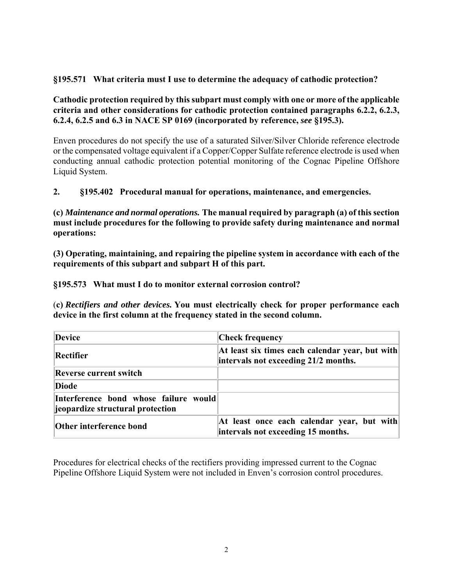# **§195.571 What criteria must I use to determine the adequacy of cathodic protection?**

**Cathodic protection required by this subpart must comply with one or more of the applicable criteria and other considerations for cathodic protection contained paragraphs 6.2.2, 6.2.3, 6.2.4, 6.2.5 and 6.3 in NACE SP 0169 (incorporated by reference,** *see* **§195.3).** 

Enven procedures do not specify the use of a saturated Silver/Silver Chloride reference electrode or the compensated voltage equivalent if a Copper/Copper Sulfate reference electrode is used when conducting annual cathodic protection potential monitoring of the Cognac Pipeline Offshore Liquid System.

### **2. §195.402 Procedural manual for operations, maintenance, and emergencies.**

**(c)** *Maintenance and normal operations.* **The manual required by paragraph (a) of this section must include procedures for the following to provide safety during maintenance and normal operations:** 

**(3) Operating, maintaining, and repairing the pipeline system in accordance with each of the requirements of this subpart and subpart H of this part.** 

**§195.573 What must I do to monitor external corrosion control?** 

(**c)** *Rectifiers and other devices.* **You must electrically check for proper performance each device in the first column at the frequency stated in the second column.** 

| Device                                                                    | <b>Check frequency</b>                                                                  |
|---------------------------------------------------------------------------|-----------------------------------------------------------------------------------------|
| Rectifier                                                                 | At least six times each calendar year, but with<br>intervals not exceeding 21/2 months. |
| <b>Reverse current switch</b>                                             |                                                                                         |
| <b>Diode</b>                                                              |                                                                                         |
| Interference bond whose failure would<br>seepardize structural protection |                                                                                         |
| <b>Other interference bond</b>                                            | At least once each calendar year, but with<br>intervals not exceeding 15 months.        |

Procedures for electrical checks of the rectifiers providing impressed current to the Cognac Pipeline Offshore Liquid System were not included in Enven's corrosion control procedures.